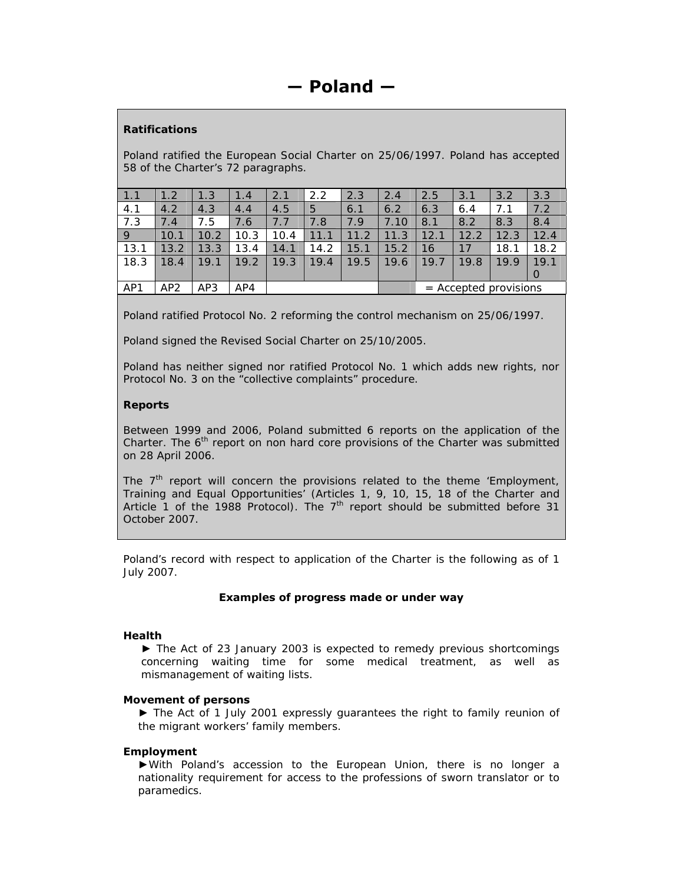# *Ratifications*

Poland ratified the European Social Charter on 25/06/1997. Poland has accepted 58 of the Charter's 72 paragraphs.

| 1.1  | 1.2             | 1.3  | 1.4  | 2.1  | 2.2  | 2.3  | 2.4  | 2.5                     | 3.1  | 3.2  | 3.3  |
|------|-----------------|------|------|------|------|------|------|-------------------------|------|------|------|
| 4.1  | 4.2             | 4.3  | 4.4  | 4.5  | 5    | 6.1  | 6.2  | 6.3                     | 6.4  | 7.1  | 7.2  |
| 7.3  | 7.4             | 7.5  | 7.6  | 7.7  | 7.8  | 7.9  | 7.10 | 8.1                     | 8.2  | 8.3  | 8.4  |
| 9    | 10.1            | 10.2 | 10.3 | 10.4 | 11.1 | 11.2 | 11.3 | 12.1                    | 12.2 | 12.3 | 12.4 |
| 13.1 | 13.2            | 13.3 | 13.4 | 14.1 | 14.2 | 15.1 | 15.2 | 16                      | 17   | 18.1 | 18.2 |
| 18.3 | 18.4            | 19.1 | 19.2 | 19.3 | 19.4 | 19.5 | 19.6 | 19.7                    | 19.8 | 19.9 | 19.1 |
|      |                 |      |      |      |      |      |      |                         |      |      |      |
| AP1  | AP <sub>2</sub> | AP3  | AP4  |      |      |      |      | $=$ Accepted provisions |      |      |      |

Poland ratified Protocol No. 2 reforming the control mechanism on 25/06/1997.

Poland signed the Revised Social Charter on 25/10/2005.

Poland has neither signed nor ratified Protocol No. 1 which adds new rights, nor Protocol No. 3 on the "collective complaints" procedure.

# *Reports*

Between 1999 and 2006, Poland submitted 6 reports on the application of the Charter. The  $6<sup>th</sup>$  report on non hard core provisions of the Charter was submitted on 28 April 2006.

The  $7<sup>th</sup>$  report will concern the provisions related to the theme 'Employment, Training and Equal Opportunities' (Articles 1, 9, 10, 15, 18 of the Charter and Article 1 of the 1988 Protocol). The  $7<sup>th</sup>$  report should be submitted before 31 October 2007.

Poland's record with respect to application of the Charter is the following as of 1 July 2007.

# **Examples of progress made or under way**

# **Health**

► The Act of 23 January 2003 is expected to remedy previous shortcomings concerning waiting time for some medical treatment, as well as mismanagement of waiting lists.

# **Movement of persons**

► The Act of 1 July 2001 expressly guarantees the right to family reunion of the migrant workers' family members.

# **Employment**

►With Poland's accession to the European Union, there is no longer a nationality requirement for access to the professions of sworn translator or to paramedics.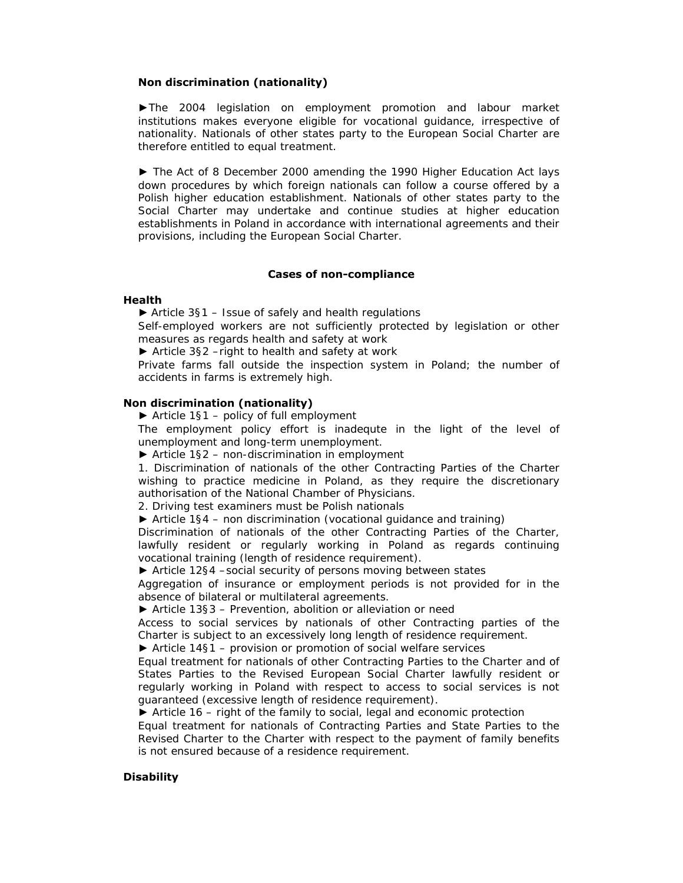### **Non discrimination (nationality)**

►The 2004 legislation on employment promotion and labour market institutions makes everyone eligible for vocational guidance, irrespective of nationality. Nationals of other states party to the European Social Charter are therefore entitled to equal treatment.

► The Act of 8 December 2000 amending the 1990 Higher Education Act lays down procedures by which foreign nationals can follow a course offered by a Polish higher education establishment. Nationals of other states party to the Social Charter may undertake and continue studies at higher education establishments in Poland in accordance with international agreements and their provisions, including the European Social Charter.

### **Cases of non-compliance**

#### **Health**

► *Article 3§1 – Issue of safely and health regulations* 

Self-employed workers are not sufficiently protected by legislation or other measures as regards health and safety at work

► *Article 3§2 –right to health and safety at work*

Private farms fall outside the inspection system in Poland; the number of accidents in farms is extremely high.

#### **Non discrimination (nationality)**

► *Article 1§1 – policy of full employment*

The employment policy effort is inadequte in the light of the level of unemployment and long-term unemployment.

► *Article 1§2 – non-discrimination in employment*

1. Discrimination of nationals of the other Contracting Parties of the Charter wishing to practice medicine in Poland, as they require the discretionary authorisation of the National Chamber of Physicians.

2. Driving test examiners must be Polish nationals

► *Article 1§4 – non discrimination (vocational guidance and training)*

Discrimination of nationals of the other Contracting Parties of the Charter, lawfully resident or regularly working in Poland as regards continuing vocational training (length of residence requirement).

► *Article 12§4 –social security of persons moving between states*

Aggregation of insurance or employment periods is not provided for in the absence of bilateral or multilateral agreements.

► *Article 13§3 – Prevention, abolition or alleviation or need*

Access to social services by nationals of other Contracting parties of the Charter is subject to an excessively long length of residence requirement.

► *Article 14§1 – provision or promotion of social welfare services* 

Equal treatment for nationals of other Contracting Parties to the Charter and of States Parties to the Revised European Social Charter lawfully resident or regularly working in Poland with respect to access to social services is not guaranteed (excessive length of residence requirement).

► *Article 16 – right of the family to social, legal and economic protection* 

Equal treatment for nationals of Contracting Parties and State Parties to the Revised Charter to the Charter with respect to the payment of family benefits is not ensured because of a residence requirement.

#### **Disability**